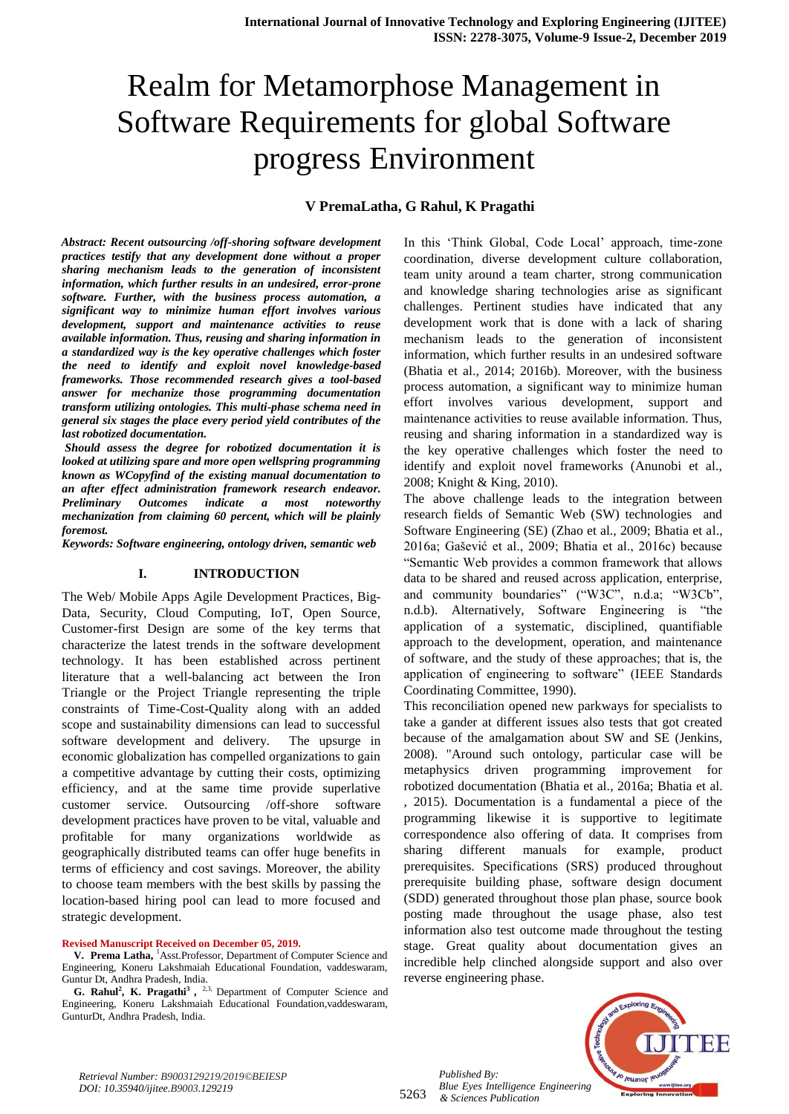## **V PremaLatha, G Rahul, K Pragathi**

*Abstract: Recent outsourcing /off-shoring software development practices testify that any development done without a proper sharing mechanism leads to the generation of inconsistent information, which further results in an undesired, error-prone software. Further, with the business process automation, a significant way to minimize human effort involves various development, support and maintenance activities to reuse available information. Thus, reusing and sharing information in a standardized way is the key operative challenges which foster the need to identify and exploit novel knowledge-based frameworks. Those recommended research gives a tool-based answer for mechanize those programming documentation transform utilizing ontologies. This multi-phase schema need in general six stages the place every period yield contributes of the last robotized documentation.* 

*Should assess the degree for robotized documentation it is looked at utilizing spare and more open wellspring programming known as WCopyfind of the existing manual documentation to an after effect administration framework research endeavor. Preliminary Outcomes indicate a most noteworthy mechanization from claiming 60 percent, which will be plainly foremost.*

*Keywords: Software engineering, ontology driven, semantic web*

#### **I. INTRODUCTION**

The Web/ Mobile Apps Agile Development Practices, Big-Data, Security, Cloud Computing, IoT, Open Source, Customer-first Design are some of the key terms that characterize the latest trends in the software development technology. It has been established across pertinent literature that a well-balancing act between the Iron Triangle or the Project Triangle representing the triple constraints of Time-Cost-Quality along with an added scope and sustainability dimensions can lead to successful software development and delivery. The upsurge in economic globalization has compelled organizations to gain a competitive advantage by cutting their costs, optimizing efficiency, and at the same time provide superlative customer service. Outsourcing /off-shore software development practices have proven to be vital, valuable and profitable for many organizations worldwide as geographically distributed teams can offer huge benefits in terms of efficiency and cost savings. Moreover, the ability to choose team members with the best skills by passing the location-based hiring pool can lead to more focused and strategic development.

#### **Revised Manuscript Received on December 05, 2019.**

**V. Prema Latha,** <sup>1</sup>Asst.Professor, Department of Computer Science and Engineering, Koneru Lakshmaiah Educational Foundation, vaddeswaram, Guntur Dt, Andhra Pradesh, India.

**G. Rahul<sup>2</sup> , K. Pragathi<sup>3</sup> ,**  2,3, Department of Computer Science and Engineering, Koneru Lakshmaiah Educational Foundation,vaddeswaram, GunturDt, Andhra Pradesh, India.

In this "Think Global, Code Local" approach, time-zone coordination, diverse development culture collaboration, team unity around a team charter, strong communication and knowledge sharing technologies arise as significant challenges. Pertinent studies have indicated that any development work that is done with a lack of sharing mechanism leads to the generation of inconsistent information, which further results in an undesired software (Bhatia et al., 2014; 2016b). Moreover, with the business process automation, a significant way to minimize human effort involves various development, support and maintenance activities to reuse available information. Thus, reusing and sharing information in a standardized way is the key operative challenges which foster the need to identify and exploit novel frameworks (Anunobi et al., 2008; Knight & King, 2010).

The above challenge leads to the integration between research fields of Semantic Web (SW) technologies and Software Engineering (SE) (Zhao et al., 2009; Bhatia et al., 2016a; Gašević et al., 2009; Bhatia et al., 2016c) because "Semantic Web provides a common framework that allows data to be shared and reused across application, enterprise, and community boundaries" ("W3C", n.d.a; "W3Cb", n.d.b). Alternatively, Software Engineering is "the application of a systematic, disciplined, quantifiable approach to the development, operation, and maintenance of software, and the study of these approaches; that is, the application of engineering to software" (IEEE Standards Coordinating Committee, 1990).

This reconciliation opened new parkways for specialists to take a gander at different issues also tests that got created because of the amalgamation about SW and SE (Jenkins, 2008). "Around such ontology, particular case will be metaphysics driven programming improvement for robotized documentation (Bhatia et al., 2016a; Bhatia et al. , 2015). Documentation is a fundamental a piece of the programming likewise it is supportive to legitimate correspondence also offering of data. It comprises from sharing different manuals for example, product prerequisites. Specifications (SRS) produced throughout prerequisite building phase, software design document (SDD) generated throughout those plan phase, source book posting made throughout the usage phase, also test information also test outcome made throughout the testing stage. Great quality about documentation gives an incredible help clinched alongside support and also over reverse engineering phase.



*Retrieval Number: B9003129219/2019©BEIESP DOI: 10.35940/ijitee.B9003.129219*

5263 *& Sciences Publication* 

*Published By:*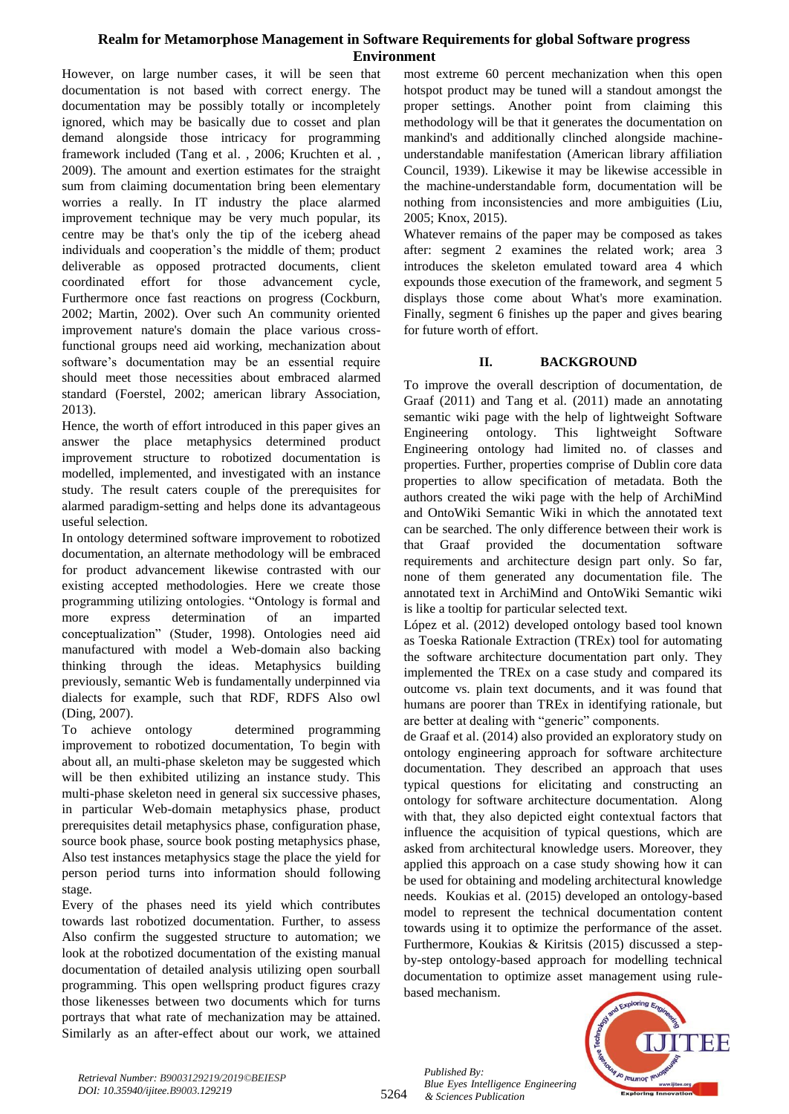However, on large number cases, it will be seen that documentation is not based with correct energy. The documentation may be possibly totally or incompletely ignored, which may be basically due to cosset and plan demand alongside those intricacy for programming framework included (Tang et al. , 2006; Kruchten et al. , 2009). The amount and exertion estimates for the straight sum from claiming documentation bring been elementary worries a really. In IT industry the place alarmed improvement technique may be very much popular, its centre may be that's only the tip of the iceberg ahead individuals and cooperation's the middle of them; product deliverable as opposed protracted documents, client coordinated effort for those advancement cycle, Furthermore once fast reactions on progress (Cockburn, 2002; Martin, 2002). Over such An community oriented improvement nature's domain the place various crossfunctional groups need aid working, mechanization about software's documentation may be an essential require should meet those necessities about embraced alarmed standard (Foerstel, 2002; american library Association, 2013).

Hence, the worth of effort introduced in this paper gives an answer the place metaphysics determined product improvement structure to robotized documentation is modelled, implemented, and investigated with an instance study. The result caters couple of the prerequisites for alarmed paradigm-setting and helps done its advantageous useful selection.

In ontology determined software improvement to robotized documentation, an alternate methodology will be embraced for product advancement likewise contrasted with our existing accepted methodologies. Here we create those programming utilizing ontologies. "Ontology is formal and more express determination of an imparted conceptualization" (Studer, 1998). Ontologies need aid manufactured with model a Web-domain also backing thinking through the ideas. Metaphysics building previously, semantic Web is fundamentally underpinned via dialects for example, such that RDF, RDFS Also owl (Ding, 2007).

To achieve ontology determined programming improvement to robotized documentation, To begin with about all, an multi-phase skeleton may be suggested which will be then exhibited utilizing an instance study. This multi-phase skeleton need in general six successive phases, in particular Web-domain metaphysics phase, product prerequisites detail metaphysics phase, configuration phase, source book phase, source book posting metaphysics phase, Also test instances metaphysics stage the place the yield for person period turns into information should following stage.

Every of the phases need its yield which contributes towards last robotized documentation. Further, to assess Also confirm the suggested structure to automation; we look at the robotized documentation of the existing manual documentation of detailed analysis utilizing open sourball programming. This open wellspring product figures crazy those likenesses between two documents which for turns portrays that what rate of mechanization may be attained. Similarly as an after-effect about our work, we attained most extreme 60 percent mechanization when this open hotspot product may be tuned will a standout amongst the proper settings. Another point from claiming this methodology will be that it generates the documentation on mankind's and additionally clinched alongside machineunderstandable manifestation (American library affiliation Council, 1939). Likewise it may be likewise accessible in the machine-understandable form, documentation will be nothing from inconsistencies and more ambiguities (Liu, 2005; Knox, 2015).

Whatever remains of the paper may be composed as takes after: segment 2 examines the related work; area 3 introduces the skeleton emulated toward area 4 which expounds those execution of the framework, and segment 5 displays those come about What's more examination. Finally, segment 6 finishes up the paper and gives bearing for future worth of effort.

## **II. BACKGROUND**

To improve the overall description of documentation, de Graaf (2011) and Tang et al. (2011) made an annotating semantic wiki page with the help of lightweight Software Engineering ontology. This lightweight Software Engineering ontology had limited no. of classes and properties. Further, properties comprise of Dublin core data properties to allow specification of metadata. Both the authors created the wiki page with the help of ArchiMind and OntoWiki Semantic Wiki in which the annotated text can be searched. The only difference between their work is that Graaf provided the documentation software requirements and architecture design part only. So far, none of them generated any documentation file. The annotated text in ArchiMind and OntoWiki Semantic wiki is like a tooltip for particular selected text.

López et al. (2012) developed ontology based tool known as Toeska Rationale Extraction (TREx) tool for automating the software architecture documentation part only. They implemented the TREx on a case study and compared its outcome vs. plain text documents, and it was found that humans are poorer than TREx in identifying rationale, but are better at dealing with "generic" components.

de Graaf et al. (2014) also provided an exploratory study on ontology engineering approach for software architecture documentation. They described an approach that uses typical questions for elicitating and constructing an ontology for software architecture documentation. Along with that, they also depicted eight contextual factors that influence the acquisition of typical questions, which are asked from architectural knowledge users. Moreover, they applied this approach on a case study showing how it can be used for obtaining and modeling architectural knowledge needs. Koukias et al. (2015) developed an ontology-based model to represent the technical documentation content towards using it to optimize the performance of the asset. Furthermore, Koukias & Kiritsis (2015) discussed a stepby-step ontology-based approach for modelling technical documentation to optimize asset management using rulebased mechanism.



5264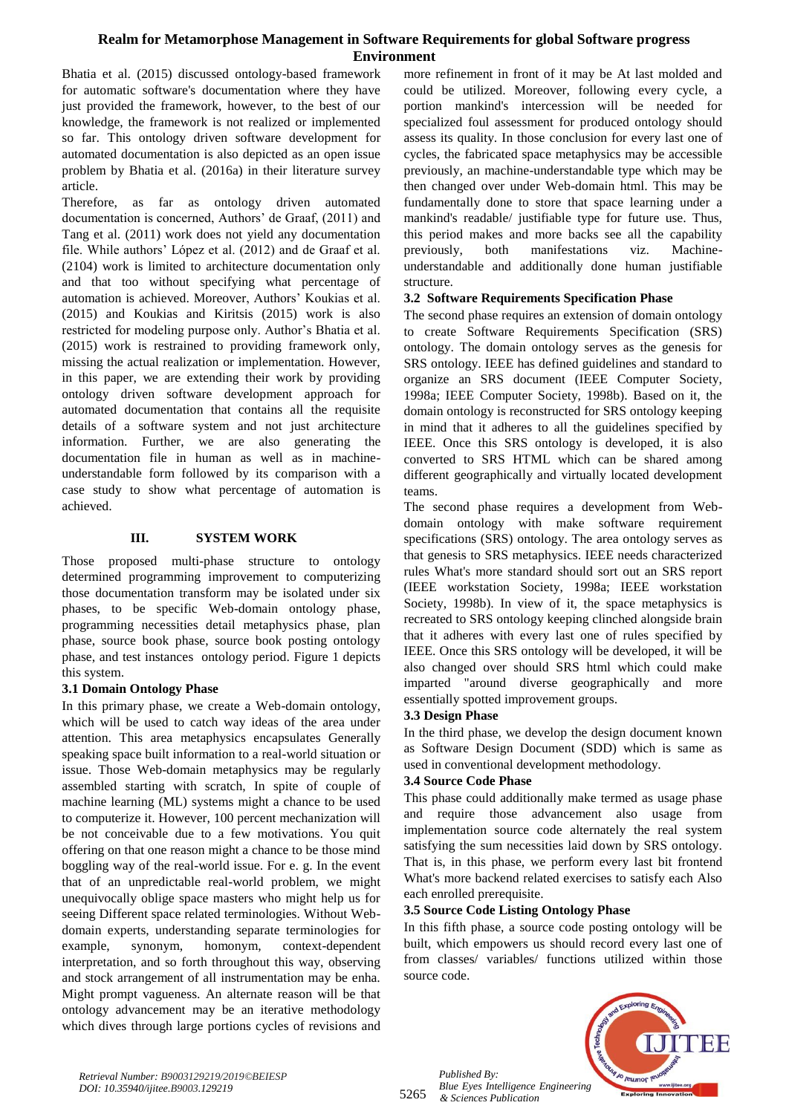Bhatia et al. (2015) discussed ontology-based framework for automatic software's documentation where they have just provided the framework, however, to the best of our knowledge, the framework is not realized or implemented so far. This ontology driven software development for automated documentation is also depicted as an open issue problem by Bhatia et al. (2016a) in their literature survey article.

Therefore, as far as ontology driven automated documentation is concerned, Authors' de Graaf, (2011) and Tang et al. (2011) work does not yield any documentation file. While authors' López et al. (2012) and de Graaf et al. (2104) work is limited to architecture documentation only and that too without specifying what percentage of automation is achieved. Moreover, Authors" Koukias et al. (2015) and Koukias and Kiritsis (2015) work is also restricted for modeling purpose only. Author's Bhatia et al. (2015) work is restrained to providing framework only, missing the actual realization or implementation. However, in this paper, we are extending their work by providing ontology driven software development approach for automated documentation that contains all the requisite details of a software system and not just architecture information. Further, we are also generating the documentation file in human as well as in machineunderstandable form followed by its comparison with a case study to show what percentage of automation is achieved.

#### **III. SYSTEM WORK**

Those proposed multi-phase structure to ontology determined programming improvement to computerizing those documentation transform may be isolated under six phases, to be specific Web-domain ontology phase, programming necessities detail metaphysics phase, plan phase, source book phase, source book posting ontology phase, and test instances ontology period. Figure 1 depicts this system.

## **3.1 Domain Ontology Phase**

In this primary phase, we create a Web-domain ontology, which will be used to catch way ideas of the area under attention. This area metaphysics encapsulates Generally speaking space built information to a real-world situation or issue. Those Web-domain metaphysics may be regularly assembled starting with scratch, In spite of couple of machine learning (ML) systems might a chance to be used to computerize it. However, 100 percent mechanization will be not conceivable due to a few motivations. You quit offering on that one reason might a chance to be those mind boggling way of the real-world issue. For e. g. In the event that of an unpredictable real-world problem, we might unequivocally oblige space masters who might help us for seeing Different space related terminologies. Without Webdomain experts, understanding separate terminologies for example, synonym, homonym, context-dependent interpretation, and so forth throughout this way, observing and stock arrangement of all instrumentation may be enha. Might prompt vagueness. An alternate reason will be that ontology advancement may be an iterative methodology which dives through large portions cycles of revisions and more refinement in front of it may be At last molded and could be utilized. Moreover, following every cycle, a portion mankind's intercession will be needed for specialized foul assessment for produced ontology should assess its quality. In those conclusion for every last one of cycles, the fabricated space metaphysics may be accessible previously, an machine-understandable type which may be then changed over under Web-domain html. This may be fundamentally done to store that space learning under a mankind's readable/ justifiable type for future use. Thus, this period makes and more backs see all the capability previously, both manifestations viz. Machineunderstandable and additionally done human justifiable structure.

## **3.2 Software Requirements Specification Phase**

The second phase requires an extension of domain ontology to create Software Requirements Specification (SRS) ontology. The domain ontology serves as the genesis for SRS ontology. IEEE has defined guidelines and standard to organize an SRS document (IEEE Computer Society, 1998a; IEEE Computer Society, 1998b). Based on it, the domain ontology is reconstructed for SRS ontology keeping in mind that it adheres to all the guidelines specified by IEEE. Once this SRS ontology is developed, it is also converted to SRS HTML which can be shared among different geographically and virtually located development teams.

The second phase requires a development from Webdomain ontology with make software requirement specifications (SRS) ontology. The area ontology serves as that genesis to SRS metaphysics. IEEE needs characterized rules What's more standard should sort out an SRS report (IEEE workstation Society, 1998a; IEEE workstation Society, 1998b). In view of it, the space metaphysics is recreated to SRS ontology keeping clinched alongside brain that it adheres with every last one of rules specified by IEEE. Once this SRS ontology will be developed, it will be also changed over should SRS html which could make imparted "around diverse geographically and more essentially spotted improvement groups.

## **3.3 Design Phase**

In the third phase, we develop the design document known as Software Design Document (SDD) which is same as used in conventional development methodology.

## **3.4 Source Code Phase**

This phase could additionally make termed as usage phase and require those advancement also usage from implementation source code alternately the real system satisfying the sum necessities laid down by SRS ontology. That is, in this phase, we perform every last bit frontend What's more backend related exercises to satisfy each Also each enrolled prerequisite.

## **3.5 Source Code Listing Ontology Phase**

In this fifth phase, a source code posting ontology will be built, which empowers us should record every last one of from classes/ variables/ functions utilized within those source code.



5265 *Published By: Blue Eyes Intelligence Engineering & Sciences Publication*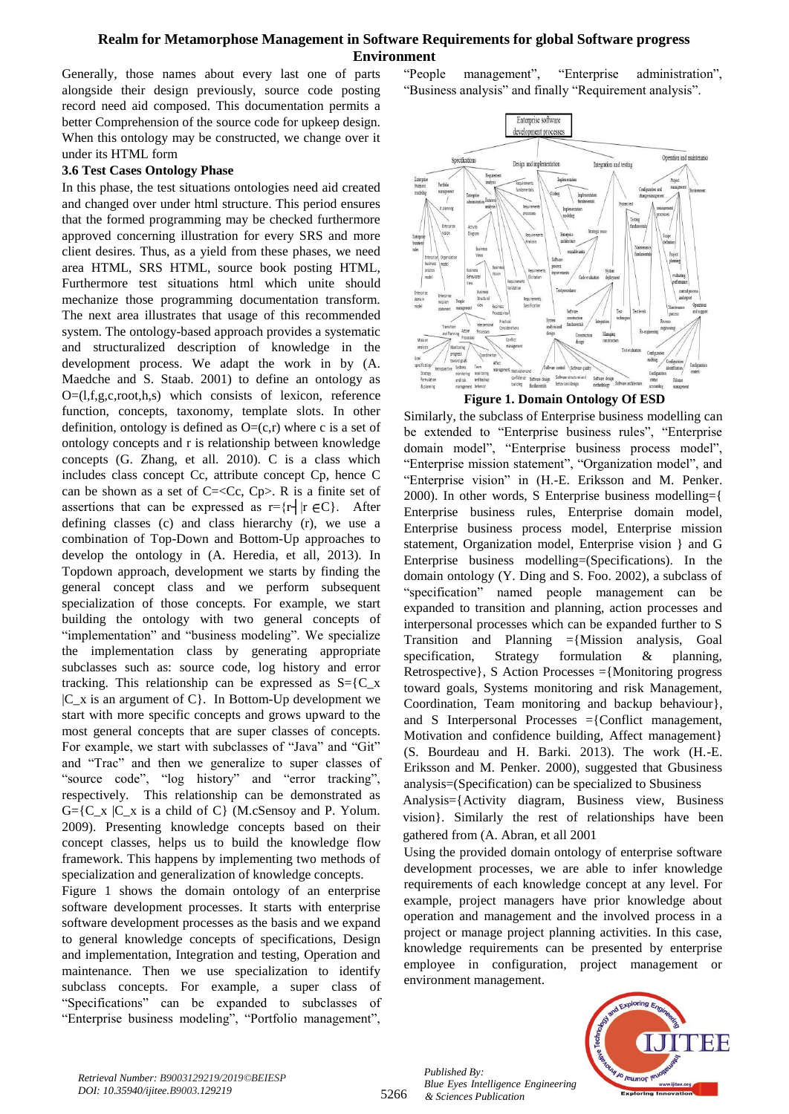Generally, those names about every last one of parts alongside their design previously, source code posting record need aid composed. This documentation permits a better Comprehension of the source code for upkeep design. When this ontology may be constructed, we change over it under its HTML form

#### **3.6 Test Cases Ontology Phase**

In this phase, the test situations ontologies need aid created and changed over under html structure. This period ensures that the formed programming may be checked furthermore approved concerning illustration for every SRS and more client desires. Thus, as a yield from these phases, we need area HTML, SRS HTML, source book posting HTML, Furthermore test situations html which unite should mechanize those programming documentation transform. The next area illustrates that usage of this recommended system. The ontology-based approach provides a systematic and structuralized description of knowledge in the development process. We adapt the work in by (A. Maedche and S. Staab. 2001) to define an ontology as  $O=(1,f,g,c,root,h,s)$  which consists of lexicon, reference function, concepts, taxonomy, template slots. In other definition, ontology is defined as  $O=(c,r)$  where c is a set of ontology concepts and r is relationship between knowledge concepts (G. Zhang, et all. 2010). C is a class which includes class concept Cc, attribute concept Cp, hence C can be shown as a set of  $C = \langle Cc, Cp \rangle$ . R is a finite set of assertions that can be expressed as  $r = {r \nvert r \in C}$ . After defining classes (c) and class hierarchy (r), we use a combination of Top-Down and Bottom-Up approaches to develop the ontology in (A. Heredia, et all, 2013). In Topdown approach, development we starts by finding the general concept class and we perform subsequent specialization of those concepts. For example, we start building the ontology with two general concepts of "implementation" and "business modeling". We specialize the implementation class by generating appropriate subclasses such as: source code, log history and error tracking. This relationship can be expressed as  $S = \{C_x \}$  $|C_x$  is an argument of  $C$ . In Bottom-Up development we start with more specific concepts and grows upward to the most general concepts that are super classes of concepts. For example, we start with subclasses of "Java" and "Git" and "Trac" and then we generalize to super classes of "source code", "log history" and "error tracking", respectively. This relationship can be demonstrated as  $G = \{C_x \mid C_x \text{ is a child of } C\}$  (M.cSensoy and P. Yolum. 2009). Presenting knowledge concepts based on their concept classes, helps us to build the knowledge flow framework. This happens by implementing two methods of specialization and generalization of knowledge concepts.

Figure 1 shows the domain ontology of an enterprise software development processes. It starts with enterprise software development processes as the basis and we expand to general knowledge concepts of specifications, Design and implementation, Integration and testing, Operation and maintenance. Then we use specialization to identify subclass concepts. For example, a super class of "Specifications" can be expanded to subclasses of "Enterprise business modeling", "Portfolio management",

"People management", "Enterprise administration", "Business analysis" and finally "Requirement analysis".



**Figure 1. Domain Ontology Of ESD** Similarly, the subclass of Enterprise business modelling can

be extended to "Enterprise business rules", "Enterprise domain model", "Enterprise business process model", "Enterprise mission statement", "Organization model", and "Enterprise vision" in (H.-E. Eriksson and M. Penker. 2000). In other words, S Enterprise business modelling={ Enterprise business rules, Enterprise domain model, Enterprise business process model, Enterprise mission statement, Organization model, Enterprise vision } and G Enterprise business modelling=(Specifications). In the domain ontology (Y. Ding and S. Foo. 2002), a subclass of "specification" named people management can be expanded to transition and planning, action processes and interpersonal processes which can be expanded further to S Transition and Planning ={Mission analysis, Goal specification, Strategy formulation & planning, Retrospective}, S Action Processes ={Monitoring progress toward goals, Systems monitoring and risk Management, Coordination, Team monitoring and backup behaviour}, and S Interpersonal Processes ={Conflict management, Motivation and confidence building, Affect management} (S. Bourdeau and H. Barki. 2013). The work (H.-E. Eriksson and M. Penker. 2000), suggested that Gbusiness analysis=(Specification) can be specialized to Sbusiness

Analysis={Activity diagram, Business view, Business vision}. Similarly the rest of relationships have been gathered from (A. Abran, et all 2001

Using the provided domain ontology of enterprise software development processes, we are able to infer knowledge requirements of each knowledge concept at any level. For example, project managers have prior knowledge about operation and management and the involved process in a project or manage project planning activities. In this case, knowledge requirements can be presented by enterprise employee in configuration, project management or environment management.



5266

*Published By: Blue Eyes Intelligence Engineering & Sciences Publication*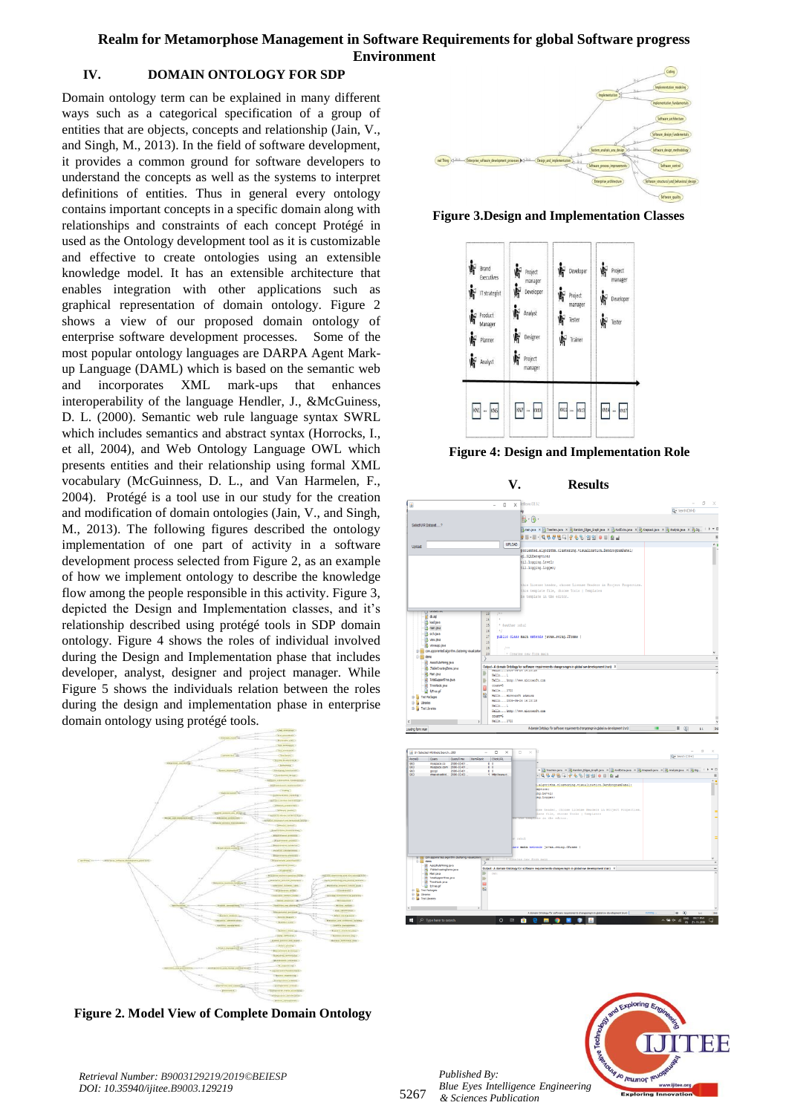#### **IV. DOMAIN ONTOLOGY FOR SDP**

Domain ontology term can be explained in many different ways such as a categorical specification of a group of entities that are objects, concepts and relationship (Jain, V., and Singh, M., 2013). In the field of software development, it provides a common ground for software developers to understand the concepts as well as the systems to interpret definitions of entities. Thus in general every ontology contains important concepts in a specific domain along with relationships and constraints of each concept Protégé in used as the Ontology development tool as it is customizable and effective to create ontologies using an extensible knowledge model. It has an extensible architecture that enables integration with other applications such as graphical representation of domain ontology. Figure 2 shows a view of our proposed domain ontology of enterprise software development processes. Some of the most popular ontology languages are DARPA Agent Markup Language (DAML) which is based on the semantic web and incorporates XML mark-ups that enhances interoperability of the language Hendler, J., &McGuiness, D. L. (2000). Semantic web rule language syntax SWRL which includes semantics and abstract syntax (Horrocks, I., et all, 2004), and Web Ontology Language OWL which presents entities and their relationship using formal XML vocabulary (McGuinness, D. L., and Van Harmelen, F., 2004). Protégé is a tool use in our study for the creation and modification of domain ontologies (Jain, V., and Singh, M., 2013). The following figures described the ontology implementation of one part of activity in a software development process selected from Figure 2, as an example of how we implement ontology to describe the knowledge flow among the people responsible in this activity. Figure 3, depicted the Design and Implementation classes, and it"s relationship described using protégé tools in SDP domain ontology. Figure 4 shows the roles of individual involved during the Design and Implementation phase that includes developer, analyst, designer and project manager. While Figure 5 shows the individuals relation between the roles during the design and implementation phase in enterprise domain ontology using protégé tools.



**Figure 2. Model View of Complete Domain Ontology**



**Figure 3.Design and Implementation Classes**



**Figure 4: Design and Implementation Role**

**V. Results**







*Published By:*